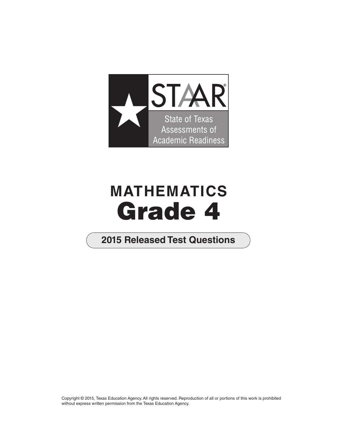

# **MATHEMATICS Grade 4**

## **2015 Released Test Questions**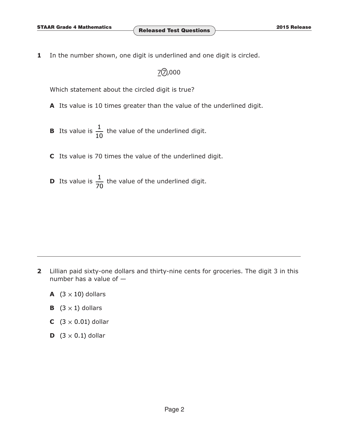**1** In the number shown, one digit is underlined and one digit is circled.

### $72,000$

Which statement about the circled digit is true?

- **A** Its value is 10 times greater than the value of the underlined digit.
- **B** Its value is  $\frac{1}{10}$  the value of the underlined digit.
- **C** Its value is 70 times the value of the underlined digit.
- **D** Its value is  $\frac{1}{70}$  the value of the underlined digit.

- **2** Lillian paid sixty-one dollars and thirty-nine cents for groceries. The digit 3 in this number has a value of —
	- **A**  $(3 \times 10)$  dollars
	- **B**  $(3 \times 1)$  dollars
	- **C**  $(3 \times 0.01)$  dollar
	- **D**  $(3 \times 0.1)$  dollar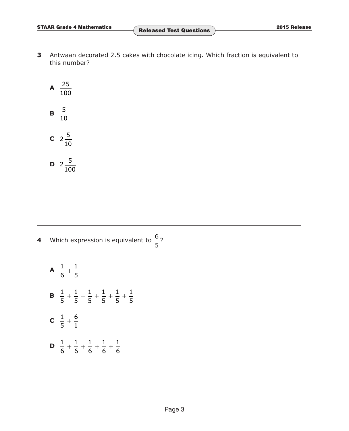**3** Antwaan decorated 2.5 cakes with chocolate icing. Which fraction is equivalent to this number?

**A** 
$$
\frac{25}{100}
$$
  
\n**B**  $\frac{5}{10}$   
\n**C**  $2\frac{5}{10}$   
\n**D**  $2\frac{5}{100}$ 

100

**4** Which expression is equivalent to  $\frac{6}{5}$ ? 5

**A** 
$$
\frac{1}{6} + \frac{1}{5}
$$
  
\n**B**  $\frac{1}{5} + \frac{1}{5} + \frac{1}{5} + \frac{1}{5} + \frac{1}{5} + \frac{1}{5}$   
\n**C**  $\frac{1}{5} + \frac{6}{1}$   
\n**D**  $\frac{1}{6} + \frac{1}{6} + \frac{1}{6} + \frac{1}{6} + \frac{1}{6}$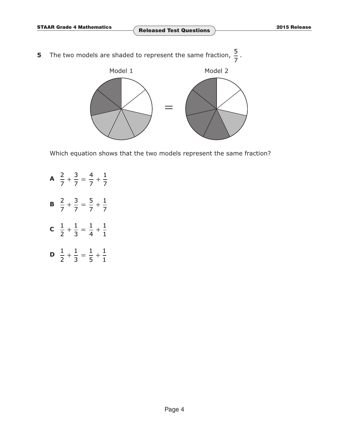**5** The two models are shaded to represent the same fraction,  $\frac{5}{7}$ .



Which equation shows that the two models represent the same fraction?

A  $\frac{2}{7} + \frac{3}{7} = \frac{4}{7} + \frac{1}{7}$ 7 7 7 7 **B**  $\frac{2}{7} + \frac{3}{7} = \frac{5}{7} + \frac{1}{7}$ 7 7 7 7 **C**  $\frac{1}{2} + \frac{1}{3} = \frac{1}{4} + \frac{1}{1}$ **D**  $\frac{1}{2} + \frac{1}{3} = \frac{1}{5} + \frac{1}{1}$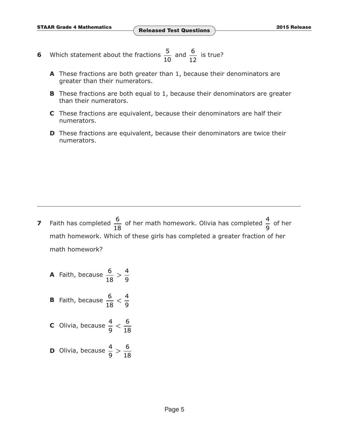- 6 Which statement about the fractions  $\frac{5}{10}$  and  $\frac{6}{10}$  is true? 10 12
	- **A** These fractions are both greater than 1, because their denominators are greater than their numerators.
	- **B** These fractions are both equal to 1, because their denominators are greater than their numerators.
	- **C** These fractions are equivalent, because their denominators are half their numerators.
	- **D** These fractions are equivalent, because their denominators are twice their numerators.

- **7** Faith has completed  $\frac{6}{18}$  of her math homework. Olivia has completed  $\frac{4}{9}$  of her math homework. Which of these girls has completed a greater fraction of her math homework?
	- **A** Faith, because  $\frac{6}{18} > \frac{4}{9}$
	- **B** Faith, because  $\frac{6}{18} < \frac{4}{9}$
	- **C** Olivia, because  $\frac{4}{9} < \frac{6}{18}$
	- **D** Olivia, because  $\frac{4}{9} > \frac{6}{18}$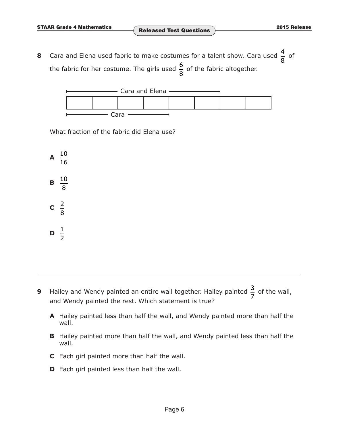**8** Cara and Elena used fabric to make costumes for a talent show. Cara used  $\frac{4}{8}$  of the fabric for her costume. The girls used  $\frac{6}{8}$  of the fabric altogether.



What fraction of the fabric did Elena use?

 $\mathsf{A} \ \frac{10}{16}$ 16  $\mathbf{B} \frac{10}{6}$ 8  $c \frac{2}{2}$ 8  $\frac{1}{2}$ 2

- **9** Hailey and Wendy painted an entire wall together. Hailey painted  $\frac{3}{7}$  of the wall, and Wendy painted the rest. Which statement is true?
	- **A** Hailey painted less than half the wall, and Wendy painted more than half the wall.
	- **B** Hailey painted more than half the wall, and Wendy painted less than half the wall.
	- **C** Each girl painted more than half the wall.
	- **D** Each girl painted less than half the wall.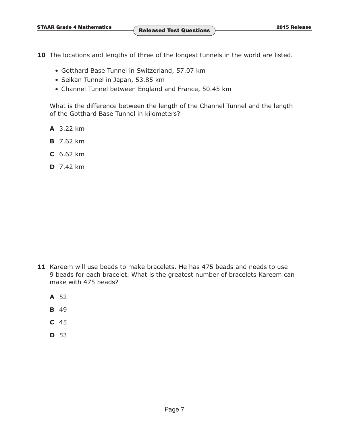**10** The locations and lengths of three of the longest tunnels in the world are listed.

- Gotthard Base Tunnel in Switzerland, 57.07 km
- Seikan Tunnel in Japan, 53.85 km
- Channel Tunnel between England and France, 50.45 km

 What is the difference between the length of the Channel Tunnel and the length of the Gotthard Base Tunnel in kilometers?

- **A** 3.22 km
- **B** 7.62 km
- **C** 6.62 km
- **D** 7.42 km

- **A** 52
- **B** 49
- **C** 45
- **D** 53

**<sup>11</sup>** Kareem will use beads to make bracelets. He has 475 beads and needs to use 9 beads for each bracelet. What is the greatest number of bracelets Kareem can make with 475 beads?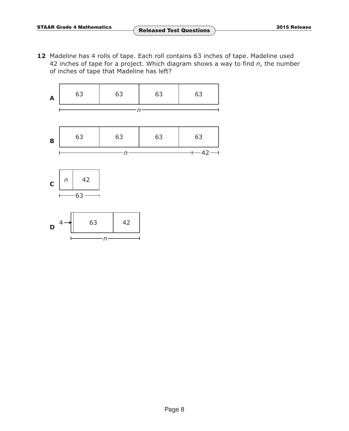**12** Madeline has 4 rolls of tape. Each roll contains 63 inches of tape. Madeline used 42 inches of tape for a project. Which diagram shows a way to find *n*, the number of inches of tape that Madeline has left?







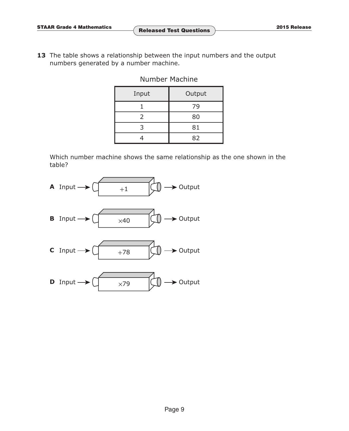**13** The table shows a relationship between the input numbers and the output numbers generated by a number machine.

Number Machine

| Input | Output |  |
|-------|--------|--|
|       | 79     |  |
| 2     | 80     |  |
|       | 81     |  |
|       | 82     |  |

 Which number machine shows the same relationship as the one shown in the table?

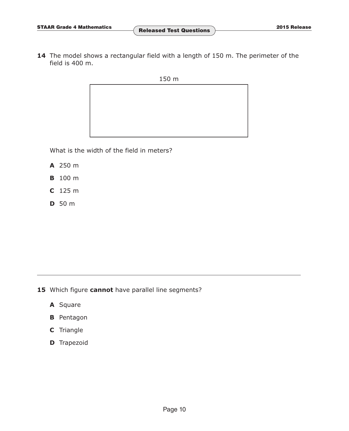**14** The model shows a rectangular field with a length of 150 m. The perimeter of the field is 400 m.

150 m



What is the width of the field in meters?

- **A** 250 m
- **B** 100 m
- **C** 125 m
- **D** 50 m

- **15** Which figure **cannot** have parallel line segments?
	- **A** Square
	- **B** Pentagon
	- **C** Triangle
	- **D** Trapezoid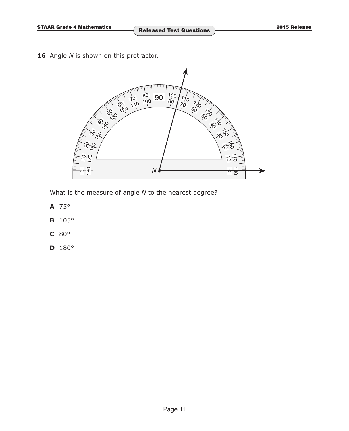16 Angle *N* is shown on this protractor.



What is the measure of angle *N* to the nearest degree?

- **A** 75°
- **B** 105°
- **C** 80°
- **D** 180°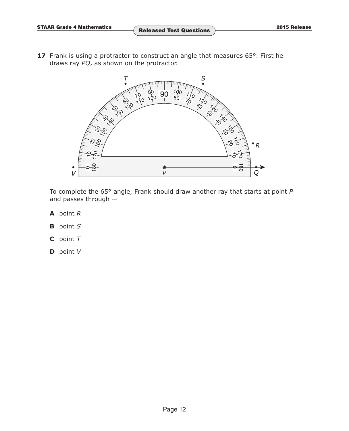17 Frank is using a protractor to construct an angle that measures 65°. First he draws ray *PQ*, as shown on the protractor.



 To complete the 65° angle, Frank should draw another ray that starts at point *P* and passes through —

- **A** point *R*
- **B** point *S*
- **C** point *T*
- **D** point *V*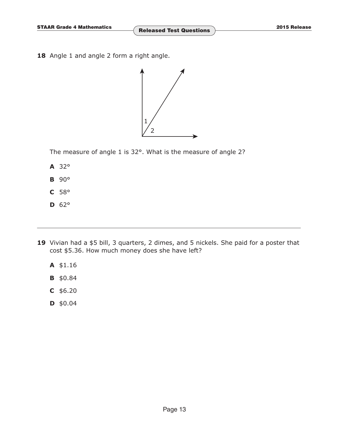18 Angle 1 and angle 2 form a right angle.



The measure of angle 1 is 32°. What is the measure of angle 2?

- **A** 32°
- **B** 90°
- **C** 58°
- **D** 62°
- **19** Vivian had a \$5 bill, 3 quarters, 2 dimes, and 5 nickels. She paid for a poster that cost \$5.36. How much money does she have left?
	- **A** \$1.16
	- **B** \$0.84
	- **C** \$6.20
	- **D** \$0.04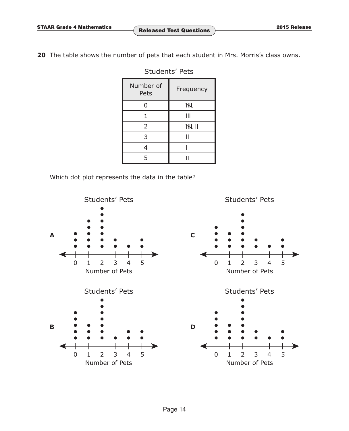**20** The table shows the number of pets that each student in Mrs. Morris's class owns.

| Number of<br>Pets | Frequency     |  |
|-------------------|---------------|--|
| U                 | <b>THI</b>    |  |
|                   | Ш             |  |
| 2                 | <b>THE II</b> |  |
| 3                 |               |  |
|                   |               |  |
| 5                 |               |  |

#### Students' Pets

Which dot plot represents the data in the table?

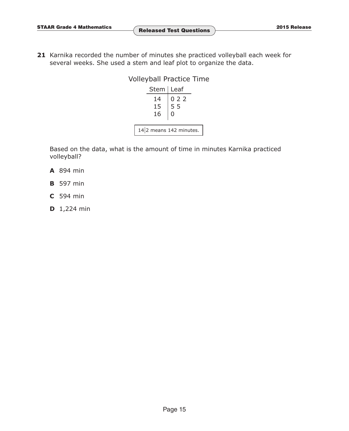**21** Karnika recorded the number of minutes she practiced volleyball each week for several weeks. She used a stem and leaf plot to organize the data.

#### Volleyball Practice Time Stem | Leaf 14 15 16 0 2 2 5 5 0

14 2 means 142 minutes.

 Based on the data, what is the amount of time in minutes Karnika practiced volleyball?

- **A** 894 min
- **B** 597 min
- **C** 594 min
- **D** 1,224 min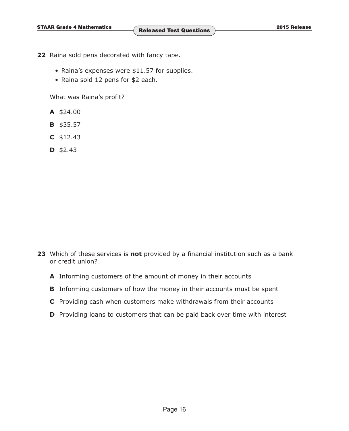- **22** Raina sold pens decorated with fancy tape.
	- Raina's expenses were \$11.57 for supplies.
	- Raina sold 12 pens for \$2 each.

What was Raina's profit?

- **A** \$24.00
- **B** \$35.57
- **C** \$12.43
- **D** \$2.43

**23** Which of these services is **not** provided by a financial institution such as a bank or credit union?

- **A** Informing customers of the amount of money in their accounts
- **B** Informing customers of how the money in their accounts must be spent
- **C** Providing cash when customers make withdrawals from their accounts
- **D** Providing loans to customers that can be paid back over time with interest